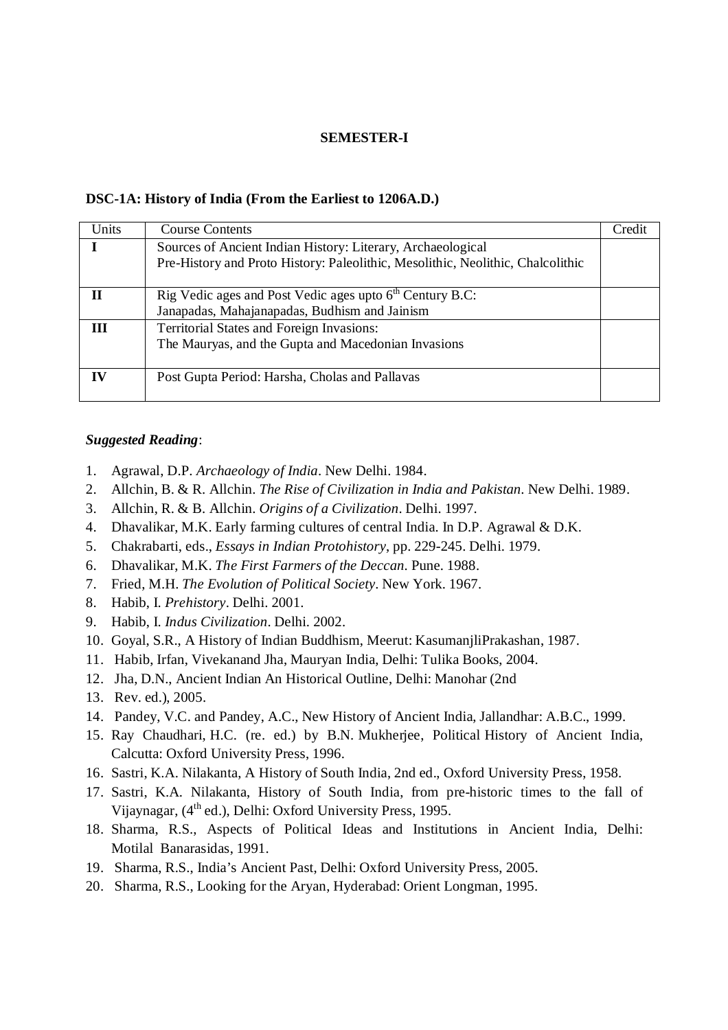## **SEMESTER-I**

## **DSC-1A: History of India (From the Earliest to 1206A.D.)**

| Units | <b>Course Contents</b>                                                                                                                         | Credit |
|-------|------------------------------------------------------------------------------------------------------------------------------------------------|--------|
|       | Sources of Ancient Indian History: Literary, Archaeological<br>Pre-History and Proto History: Paleolithic, Mesolithic, Neolithic, Chalcolithic |        |
| Н     | Rig Vedic ages and Post Vedic ages upto 6 <sup>th</sup> Century B.C:<br>Janapadas, Mahajanapadas, Budhism and Jainism                          |        |
| Ш     | <b>Territorial States and Foreign Invasions:</b><br>The Mauryas, and the Gupta and Macedonian Invasions                                        |        |
| IV    | Post Gupta Period: Harsha, Cholas and Pallavas                                                                                                 |        |

## *Suggested Reading*:

- 1. Agrawal, D.P. *Archaeology of India*. New Delhi. 1984.
- 2. Allchin, B. & R. Allchin. *The Rise of Civilization in India and Pakistan*. New Delhi. 1989.
- 3. Allchin, R. & B. Allchin. *Origins of a Civilization*. Delhi. 1997.
- 4. Dhavalikar, M.K. Early farming cultures of central India. In D.P. Agrawal & D.K.
- 5. Chakrabarti, eds., *Essays in Indian Protohistory*, pp. 229-245. Delhi. 1979.
- 6. Dhavalikar, M.K. *The First Farmers of the Deccan*. Pune. 1988.
- 7. Fried, M.H. *The Evolution of Political Society*. New York. 1967.
- 8. Habib, I. *Prehistory*. Delhi. 2001.
- 9. Habib, I. *Indus Civilization*. Delhi. 2002.
- 10. Goyal, S.R., A History of Indian Buddhism, Meerut: KasumanjliPrakashan, 1987.
- 11. Habib, Irfan, Vivekanand Jha, Mauryan India, Delhi: Tulika Books, 2004.
- 12. Jha, D.N., Ancient Indian An Historical Outline, Delhi: Manohar (2nd
- 13. Rev. ed.), 2005.
- 14. Pandey, V.C. and Pandey, A.C., New History of Ancient India, Jallandhar: A.B.C., 1999.
- 15. Ray Chaudhari, H.C. (re. ed.) by B.N. Mukherjee, Political History of Ancient India, Calcutta: Oxford University Press, 1996.
- 16. Sastri, K.A. Nilakanta, A History of South India, 2nd ed., Oxford University Press, 1958.
- 17. Sastri, K.A. Nilakanta, History of South India, from pre-historic times to the fall of Vijaynagar, (4<sup>th</sup> ed.), Delhi: Oxford University Press, 1995.
- 18. Sharma, R.S., Aspects of Political Ideas and Institutions in Ancient India, Delhi: Motilal Banarasidas, 1991.
- 19. Sharma, R.S., India's Ancient Past, Delhi: Oxford University Press, 2005.
- 20. Sharma, R.S., Looking for the Aryan, Hyderabad: Orient Longman, 1995.